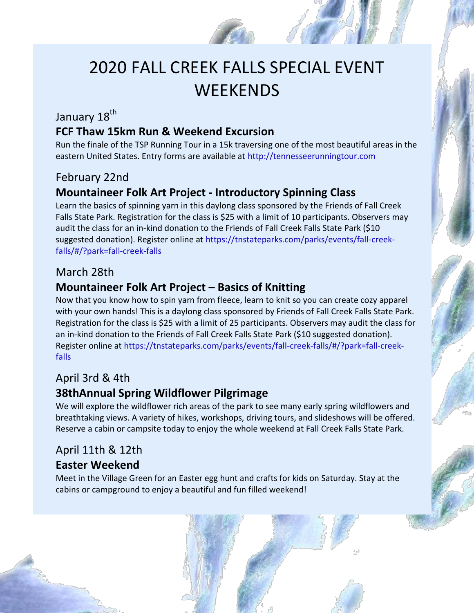# 2020 FALL CREEK FALLS SPECIAL EVENT **WEEKENDS**

## January 18<sup>th</sup>

### **FCF Thaw 15km Run & Weekend Excursion**

Run the finale of the TSP Running Tour in a 15k traversing one of the most beautiful areas in the eastern United States. Entry forms are available at http://tennesseerunningtour.com

#### February 22nd

### **Mountaineer Folk Art Project - Introductory Spinning Class**

Learn the basics of spinning yarn in this daylong class sponsored by the Friends of Fall Creek Falls State Park. Registration for the class is \$25 with a limit of 10 participants. Observers may audit the class for an in-kind donation to the Friends of Fall Creek Falls State Park (\$10 suggested donation). Register online at https://tnstateparks.com/parks/events/fall-creekfalls/#/?park=fall-creek-falls

#### March 28th

## **Mountaineer Folk Art Project – Basics of Knitting**

Now that you know how to spin yarn from fleece, learn to knit so you can create cozy apparel with your own hands! This is a daylong class sponsored by Friends of Fall Creek Falls State Park. Registration for the class is \$25 with a limit of 25 participants. Observers may audit the class for an in-kind donation to the Friends of Fall Creek Falls State Park (\$10 suggested donation). Register online at https://tnstateparks.com/parks/events/fall-creek-falls/#/?park=fall-creekfalls

## April 3rd & 4th

## **38thAnnual Spring Wildflower Pilgrimage**

We will explore the wildflower rich areas of the park to see many early spring wildflowers and breathtaking views. A variety of hikes, workshops, driving tours, and slideshows will be offered. Reserve a cabin or campsite today to enjoy the whole weekend at Fall Creek Falls State Park.

#### April 11th & 12th

#### **Easter Weekend**

Meet in the Village Green for an Easter egg hunt and crafts for kids on Saturday. Stay at the cabins or campground to enjoy a beautiful and fun filled weekend!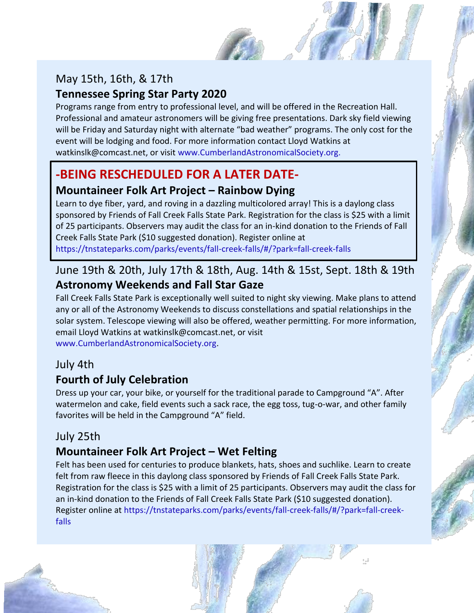# May 15th, 16th, & 17th

## **Tennessee Spring Star Party 2020**

Programs range from entry to professional level, and will be offered in the Recreation Hall. Professional and amateur astronomers will be giving free presentations. Dark sky field viewing will be Friday and Saturday night with alternate "bad weather" programs. The only cost for the event will be lodging and food. For more information contact Lloyd Watkins at watkinslk@comcast.net, or visit www.CumberlandAstronomicalSociety.org.

# **-BEING RESCHEDULED FOR A LATER DATE-**

## **Mountaineer Folk Art Project – Rainbow Dying**

Learn to dye fiber, yard, and roving in a dazzling multicolored array! This is a daylong class sponsored by Friends of Fall Creek Falls State Park. Registration for the class is \$25 with a limit of 25 participants. Observers may audit the class for an in-kind donation to the Friends of Fall Creek Falls State Park (\$10 suggested donation). Register online at https://tnstateparks.com/parks/events/fall-creek-falls/#/?park=fall-creek-falls

# June 19th & 20th, July 17th & 18th, Aug. 14th & 15st, Sept. 18th & 19th **Astronomy Weekends and Fall Star Gaze**

Fall Creek Falls State Park is exceptionally well suited to night sky viewing. Make plans to attend any or all of the Astronomy Weekends to discuss constellations and spatial relationships in the solar system. Telescope viewing will also be offered, weather permitting. For more information, email Lloyd Watkins at watkinslk@comcast.net, or visit www.CumberlandAstronomicalSociety.org.

## July 4th

## **Fourth of July Celebration**

Dress up your car, your bike, or yourself for the traditional parade to Campground "A". After watermelon and cake, field events such a sack race, the egg toss, tug-o-war, and other family favorites will be held in the Campground "A" field.

## July 25th

# **Mountaineer Folk Art Project – Wet Felting**

Felt has been used for centuries to produce blankets, hats, shoes and suchlike. Learn to create felt from raw fleece in this daylong class sponsored by Friends of Fall Creek Falls State Park. Registration for the class is \$25 with a limit of 25 participants. Observers may audit the class for an in-kind donation to the Friends of Fall Creek Falls State Park (\$10 suggested donation). Register online at https://tnstateparks.com/parks/events/fall-creek-falls/#/?park=fall-creekfalls